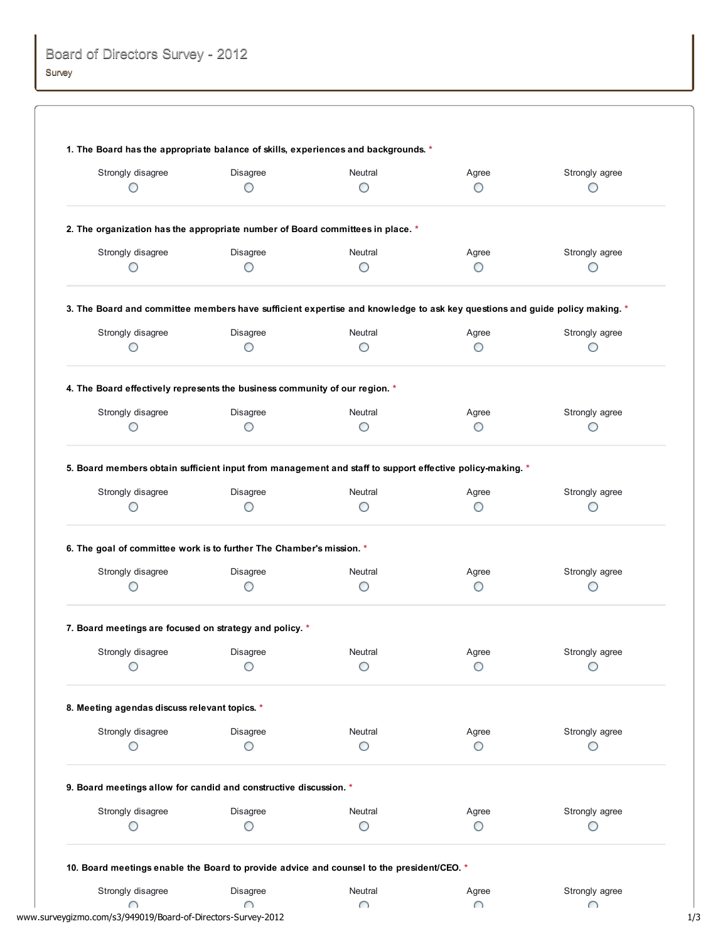| Strongly disagree                                                           | Disagree      | Neutral                                                                                                                    | Agree      | Strongly agree |
|-----------------------------------------------------------------------------|---------------|----------------------------------------------------------------------------------------------------------------------------|------------|----------------|
| O                                                                           | O             | O                                                                                                                          | Ο          | O              |
|                                                                             |               | 2. The organization has the appropriate number of Board committees in place. *                                             |            |                |
| Strongly disagree                                                           | Disagree      | Neutral                                                                                                                    | Agree      | Strongly agree |
| O                                                                           | О             | О                                                                                                                          | O          | О              |
|                                                                             |               | 3. The Board and committee members have sufficient expertise and knowledge to ask key questions and guide policy making. * |            |                |
| Strongly disagree                                                           | Disagree      | Neutral                                                                                                                    | Agree      | Strongly agree |
| O                                                                           | О             | O                                                                                                                          | O          | О              |
| 4. The Board effectively represents the business community of our region. * |               |                                                                                                                            |            |                |
| Strongly disagree                                                           | Disagree      | Neutral                                                                                                                    | Agree      | Strongly agree |
| O                                                                           | O             | О                                                                                                                          | О          | О              |
| 6. The goal of committee work is to further The Chamber's mission. *        |               |                                                                                                                            |            |                |
| Strongly disagree                                                           | Disagree      | Neutral                                                                                                                    | Agree      | Strongly agree |
| О                                                                           | O             | O                                                                                                                          | О          | О              |
| 7. Board meetings are focused on strategy and policy. *                     |               |                                                                                                                            |            |                |
| Strongly disagree                                                           | Disagree      | Neutral                                                                                                                    | Agree      | Strongly agree |
| O                                                                           | O             | О                                                                                                                          | O          | O              |
| 8. Meeting agendas discuss relevant topics. *                               |               |                                                                                                                            |            |                |
| Strongly disagree                                                           | Disagree      | Neutral                                                                                                                    | Agree      | Strongly agree |
| O                                                                           | O             | Ο                                                                                                                          | Ο          | O              |
| 9. Board meetings allow for candid and constructive discussion. *           |               |                                                                                                                            |            |                |
| Strongly disagree                                                           | Disagree      | Neutral                                                                                                                    | Agree      | Strongly agree |
| О                                                                           | O             | О                                                                                                                          | O          | О              |
|                                                                             |               | 10. Board meetings enable the Board to provide advice and counsel to the president/CEO. *                                  |            |                |
|                                                                             |               |                                                                                                                            |            |                |
| Strongly disagree<br>∩                                                      | Disagree<br>∩ | Neutral<br>∩                                                                                                               | Agree<br>∩ | Strongly agree |

www.surveygizmo.com/s3/949019/Board-of-Directors-Survey-2012 1/3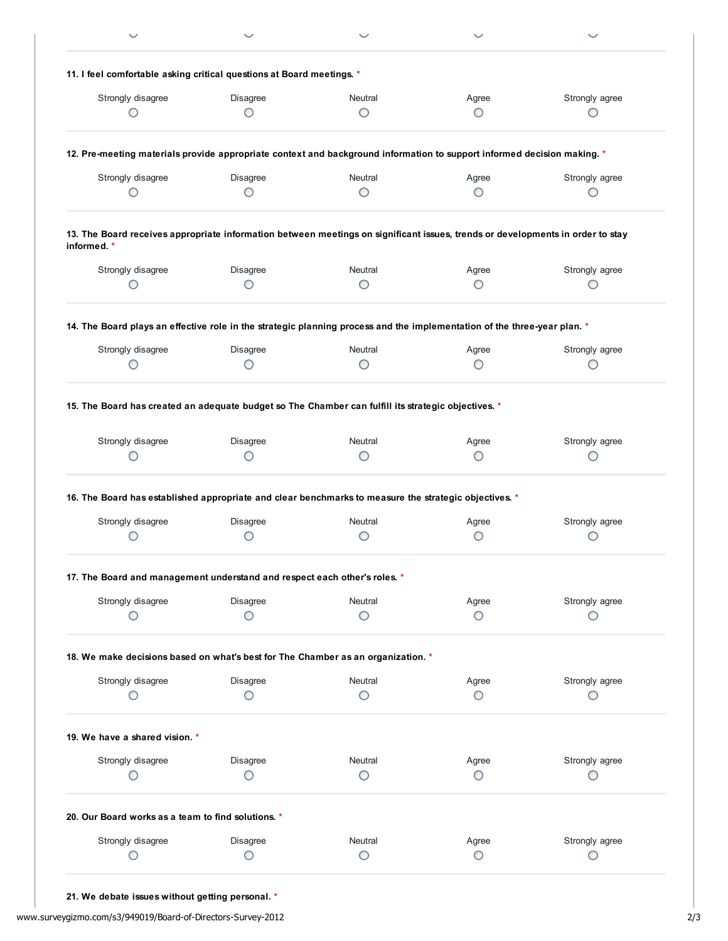| 11. I feel comfortable asking critical questions at Board meetings. *                                                                         |               |              |            |                     |
|-----------------------------------------------------------------------------------------------------------------------------------------------|---------------|--------------|------------|---------------------|
|                                                                                                                                               |               |              |            |                     |
| Strongly disagree                                                                                                                             | Disagree      | Neutral      | Agree      | Strongly agree      |
| ◯                                                                                                                                             | ∩             | O            | O          | O                   |
| 12. Pre-meeting materials provide appropriate context and background information to support informed decision making. *                       |               |              |            |                     |
| Strongly disagree                                                                                                                             | Disagree      | Neutral      | Agree      | Strongly agree      |
| O                                                                                                                                             | O             | O            | O          | O                   |
| 13. The Board receives appropriate information between meetings on significant issues, trends or developments in order to stay<br>informed. * |               |              |            |                     |
| Strongly disagree                                                                                                                             | Disagree      | Neutral      | Agree      | Strongly agree      |
| O                                                                                                                                             |               | O            | O          | O                   |
| 14. The Board plays an effective role in the strategic planning process and the implementation of the three-year plan. *                      |               |              |            |                     |
| Strongly disagree                                                                                                                             | Disagree      | Neutral      | Agree      | Strongly agree      |
| O                                                                                                                                             | O             | O            | O          | O                   |
| Strongly disagree                                                                                                                             | Disagree      | Neutral      | Agree      |                     |
| O                                                                                                                                             | O             | O            | O          | Strongly agree<br>O |
| 16. The Board has established appropriate and clear benchmarks to measure the strategic objectives. *                                         |               |              |            |                     |
|                                                                                                                                               |               |              |            |                     |
| Strongly disagree<br>O                                                                                                                        | Disagree<br>O | Neutral<br>O | Agree<br>O | Strongly agree<br>O |
| 17. The Board and management understand and respect each other's roles. *                                                                     |               |              |            |                     |
|                                                                                                                                               |               | Neutral      |            |                     |
| Strongly disagree<br>O                                                                                                                        | Disagree<br>O | O            | Agree<br>O | Strongly agree<br>O |
| 18. We make decisions based on what's best for The Chamber as an organization. *                                                              |               |              |            |                     |
| Strongly disagree                                                                                                                             | Disagree      | Neutral      | Agree      | Strongly agree      |
| О                                                                                                                                             | O             | O            | O          | O                   |
| 19. We have a shared vision. *                                                                                                                |               |              |            |                     |
| Strongly disagree                                                                                                                             | Disagree      | Neutral      | Agree      | Strongly agree      |
| O                                                                                                                                             | O             | O            | O          | O                   |
| 20. Our Board works as a team to find solutions. *                                                                                            |               |              |            |                     |
| Strongly disagree                                                                                                                             | Disagree      | Neutral      | Agree      | Strongly agree      |

21. We debate issues without getting personal. \*